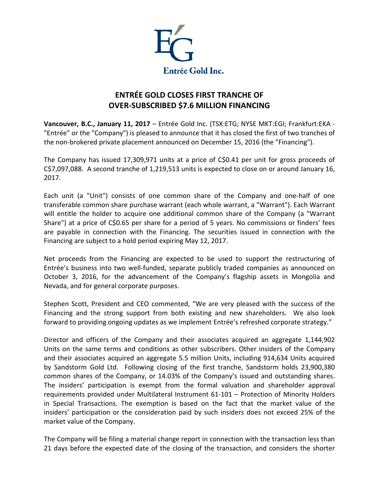

## **ENTRÉE GOLD CLOSES FIRST TRANCHE OF OVER-SUBSCRIBED \$7.6 MILLION FINANCING**

**Vancouver, B.C., January 11, 2017** – Entrée Gold Inc. (TSX:ETG; NYSE MKT:EGI; Frankfurt:EKA - "Entrée" or the "Company") is pleased to announce that it has closed the first of two tranches of the non-brokered private placement announced on December 15, 2016 (the "Financing").

The Company has issued 17,309,971 units at a price of C\$0.41 per unit for gross proceeds of C\$7,097,088. A second tranche of 1,219,513 units is expected to close on or around January 16, 2017.

Each unit (a "Unit") consists of one common share of the Company and one-half of one transferable common share purchase warrant (each whole warrant, a "Warrant"). Each Warrant will entitle the holder to acquire one additional common share of the Company (a "Warrant Share") at a price of C\$0.65 per share for a period of 5 years. No commissions or finders' fees are payable in connection with the Financing. The securities issued in connection with the Financing are subject to a hold period expiring May 12, 2017.

Net proceeds from the Financing are expected to be used to support the restructuring of Entrée's business into two well-funded, separate publicly traded companies as announced on October 3, 2016, for the advancement of the Company's flagship assets in Mongolia and Nevada, and for general corporate purposes.

Stephen Scott, President and CEO commented, "We are very pleased with the success of the Financing and the strong support from both existing and new shareholders. We also look forward to providing ongoing updates as we implement Entrée's refreshed corporate strategy."

Director and officers of the Company and their associates acquired an aggregate 1,144,902 Units on the same terms and conditions as other subscribers. Other insiders of the Company and their associates acquired an aggregate 5.5 million Units, including 914,634 Units acquired by Sandstorm Gold Ltd. Following closing of the first tranche, Sandstorm holds 23,900,380 common shares of the Company, or 14.03% of the Company's issued and outstanding shares. The insiders' participation is exempt from the formal valuation and shareholder approval requirements provided under Multilateral Instrument 61-101 – Protection of Minority Holders in Special Transactions. The exemption is based on the fact that the market value of the insiders' participation or the consideration paid by such insiders does not exceed 25% of the market value of the Company.

The Company will be filing a material change report in connection with the transaction less than 21 days before the expected date of the closing of the transaction, and considers the shorter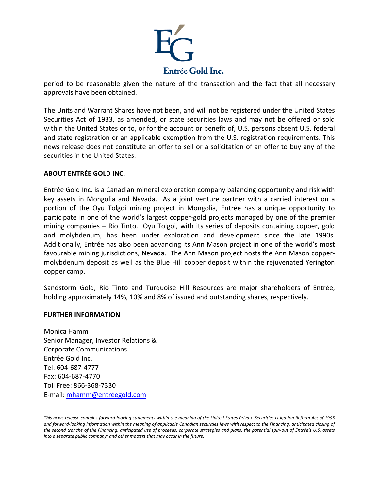

period to be reasonable given the nature of the transaction and the fact that all necessary approvals have been obtained.

The Units and Warrant Shares have not been, and will not be registered under the United States Securities Act of 1933, as amended, or state securities laws and may not be offered or sold within the United States or to, or for the account or benefit of, U.S. persons absent U.S. federal and state registration or an applicable exemption from the U.S. registration requirements. This news release does not constitute an offer to sell or a solicitation of an offer to buy any of the securities in the United States.

## **ABOUT ENTRÉE GOLD INC.**

Entrée Gold Inc. is a Canadian mineral exploration company balancing opportunity and risk with key assets in Mongolia and Nevada. As a joint venture partner with a carried interest on a portion of the Oyu Tolgoi mining project in Mongolia, Entrée has a unique opportunity to participate in one of the world's largest copper-gold projects managed by one of the premier mining companies – Rio Tinto. Oyu Tolgoi, with its series of deposits containing copper, gold and molybdenum, has been under exploration and development since the late 1990s. Additionally, Entrée has also been advancing its Ann Mason project in one of the world's most favourable mining jurisdictions, Nevada. The Ann Mason project hosts the Ann Mason coppermolybdenum deposit as well as the Blue Hill copper deposit within the rejuvenated Yerington copper camp.

Sandstorm Gold, Rio Tinto and Turquoise Hill Resources are major shareholders of Entrée, holding approximately 14%, 10% and 8% of issued and outstanding shares, respectively.

## **FURTHER INFORMATION**

Monica Hamm Senior Manager, Investor Relations & Corporate Communications Entrée Gold Inc. Tel: 604-687-4777 Fax: 604-687-4770 Toll Free: 866-368-7330 E-mail: [mhamm@entréegold.com](mailto:mhamm@entr%C3%A9egold.com) 

*This news release contains forward-looking statements within the meaning of the United States Private Securities Litigation Reform Act of 1995 and forward-looking information within the meaning of applicable Canadian securities laws with respect to the Financing, anticipated closing of the second tranche of the Financing, anticipated use of proceeds, corporate strategies and plans; the potential spin-out of Entrée's U.S. assets into a separate public company; and other matters that may occur in the future.*